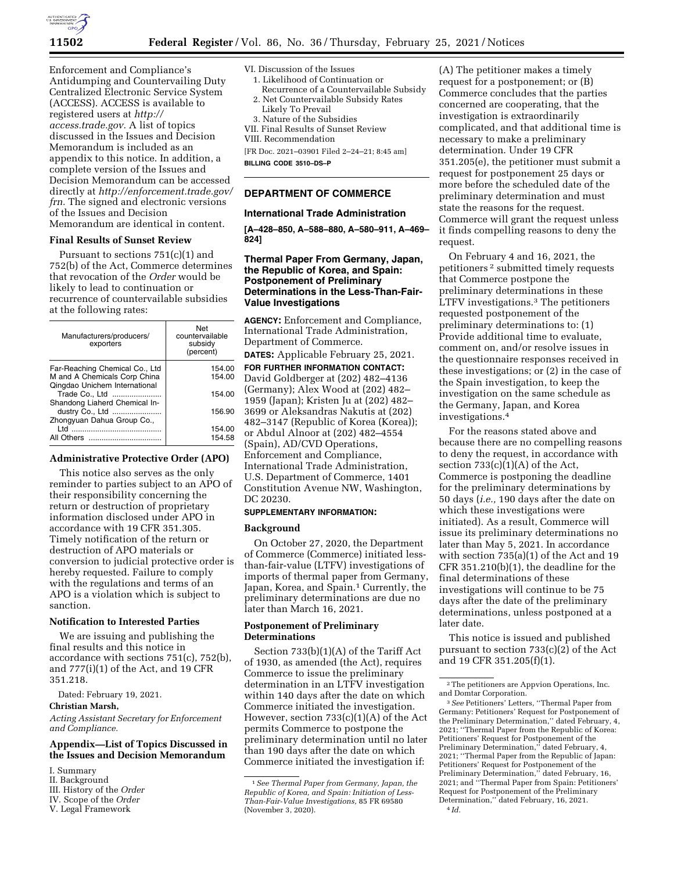

Enforcement and Compliance's Antidumping and Countervailing Duty Centralized Electronic Service System (ACCESS). ACCESS is available to registered users at *[http://](http://access.trade.gov) [access.trade.gov.](http://access.trade.gov)* A list of topics discussed in the Issues and Decision Memorandum is included as an appendix to this notice. In addition, a complete version of the Issues and Decision Memorandum can be accessed directly at *[http://enforcement.trade.gov/](http://enforcement.trade.gov/frn)  [frn.](http://enforcement.trade.gov/frn)* The signed and electronic versions of the Issues and Decision Memorandum are identical in content.

## **Final Results of Sunset Review**

Pursuant to sections 751(c)(1) and 752(b) of the Act, Commerce determines that revocation of the *Order* would be likely to lead to continuation or recurrence of countervailable subsidies at the following rates:

| Manufacturers/producers/<br>exporters                                                           | Net<br>countervailable<br>subsidy<br>(percent) |
|-------------------------------------------------------------------------------------------------|------------------------------------------------|
| Far-Reaching Chemical Co., Ltd<br>M and A Chemicals Corp China<br>Qingdao Unichem International | 154.00<br>154.00                               |
| Trade Co., Ltd<br>Shandong Liaherd Chemical In-                                                 | 154.00                                         |
| dustry Co., Ltd<br>Zhongyuan Dahua Group Co.,                                                   | 156.90                                         |
| All Others                                                                                      | 154.00<br>154.58                               |

# **Administrative Protective Order (APO)**

This notice also serves as the only reminder to parties subject to an APO of their responsibility concerning the return or destruction of proprietary information disclosed under APO in accordance with 19 CFR 351.305. Timely notification of the return or destruction of APO materials or conversion to judicial protective order is hereby requested. Failure to comply with the regulations and terms of an APO is a violation which is subject to sanction.

### **Notification to Interested Parties**

We are issuing and publishing the final results and this notice in accordance with sections 751(c), 752(b), and 777(i)(1) of the Act, and 19 CFR 351.218.

Dated: February 19, 2021.

## **Christian Marsh,**

*Acting Assistant Secretary for Enforcement and Compliance.* 

## **Appendix—List of Topics Discussed in the Issues and Decision Memorandum**

- I. Summary
- II. Background
- III. History of the *Order*

V. Legal Framework

- VI. Discussion of the Issues
- 1. Likelihood of Continuation or
- Recurrence of a Countervailable Subsidy 2. Net Countervailable Subsidy Rates
- Likely To Prevail
- 3. Nature of the Subsidies
- VII. Final Results of Sunset Review
- VIII. Recommendation

[FR Doc. 2021–03901 Filed 2–24–21; 8:45 am] **BILLING CODE 3510–DS–P** 

### **DEPARTMENT OF COMMERCE**

#### **International Trade Administration**

**[A–428–850, A–588–880, A–580–911, A–469– 824]** 

## **Thermal Paper From Germany, Japan, the Republic of Korea, and Spain: Postponement of Preliminary Determinations in the Less-Than-Fair-Value Investigations**

**AGENCY:** Enforcement and Compliance, International Trade Administration, Department of Commerce.

**DATES:** Applicable February 25, 2021. **FOR FURTHER INFORMATION CONTACT:** 

David Goldberger at (202) 482–4136 (Germany); Alex Wood at (202) 482– 1959 (Japan); Kristen Ju at (202) 482– 3699 or Aleksandras Nakutis at (202) 482–3147 (Republic of Korea (Korea)); or Abdul Alnoor at (202) 482–4554 (Spain), AD/CVD Operations, Enforcement and Compliance, International Trade Administration, U.S. Department of Commerce, 1401 Constitution Avenue NW, Washington, DC 20230.

### **SUPPLEMENTARY INFORMATION:**

#### **Background**

On October 27, 2020, the Department of Commerce (Commerce) initiated lessthan-fair-value (LTFV) investigations of imports of thermal paper from Germany, Japan, Korea, and Spain.<sup>1</sup> Currently, the preliminary determinations are due no later than March 16, 2021.

#### **Postponement of Preliminary Determinations**

Section 733(b)(1)(A) of the Tariff Act of 1930, as amended (the Act), requires Commerce to issue the preliminary determination in an LTFV investigation within 140 days after the date on which Commerce initiated the investigation. However, section 733(c)(1)(A) of the Act permits Commerce to postpone the preliminary determination until no later than 190 days after the date on which Commerce initiated the investigation if:

(A) The petitioner makes a timely request for a postponement; or (B) Commerce concludes that the parties concerned are cooperating, that the investigation is extraordinarily complicated, and that additional time is necessary to make a preliminary determination. Under 19 CFR 351.205(e), the petitioner must submit a request for postponement 25 days or more before the scheduled date of the preliminary determination and must state the reasons for the request. Commerce will grant the request unless it finds compelling reasons to deny the request.

On February 4 and 16, 2021, the petitioners 2 submitted timely requests that Commerce postpone the preliminary determinations in these LTFV investigations.3 The petitioners requested postponement of the preliminary determinations to: (1) Provide additional time to evaluate, comment on, and/or resolve issues in the questionnaire responses received in these investigations; or (2) in the case of the Spain investigation, to keep the investigation on the same schedule as the Germany, Japan, and Korea investigations.4

For the reasons stated above and because there are no compelling reasons to deny the request, in accordance with section  $733(c)(1)(A)$  of the Act, Commerce is postponing the deadline for the preliminary determinations by 50 days (*i.e.,* 190 days after the date on which these investigations were initiated). As a result, Commerce will issue its preliminary determinations no later than May 5, 2021. In accordance with section 735(a)(1) of the Act and 19 CFR 351.210(b)(1), the deadline for the final determinations of these investigations will continue to be 75 days after the date of the preliminary determinations, unless postponed at a later date.

This notice is issued and published pursuant to section 733(c)(2) of the Act and 19 CFR 351.205(f)(1).

IV. Scope of the *Order* 

<sup>1</sup>*See Thermal Paper from Germany, Japan, the Republic of Korea, and Spain: Initiation of Less-Than-Fair-Value Investigations,* 85 FR 69580 (November 3, 2020).

<sup>2</sup>The petitioners are Appvion Operations, Inc. and Domtar Corporation.

<sup>3</sup>*See* Petitioners' Letters, ''Thermal Paper from Germany: Petitioners' Request for Postponement of the Preliminary Determination,'' dated February, 4, 2021; ''Thermal Paper from the Republic of Korea: Petitioners' Request for Postponement of the Preliminary Determination,'' dated February, 4, 2021; ''Thermal Paper from the Republic of Japan: Petitioners' Request for Postponement of the Preliminary Determination,'' dated February, 16, 2021; and ''Thermal Paper from Spain: Petitioners' Request for Postponement of the Preliminary Determination,'' dated February, 16, 2021. 4 *Id.*